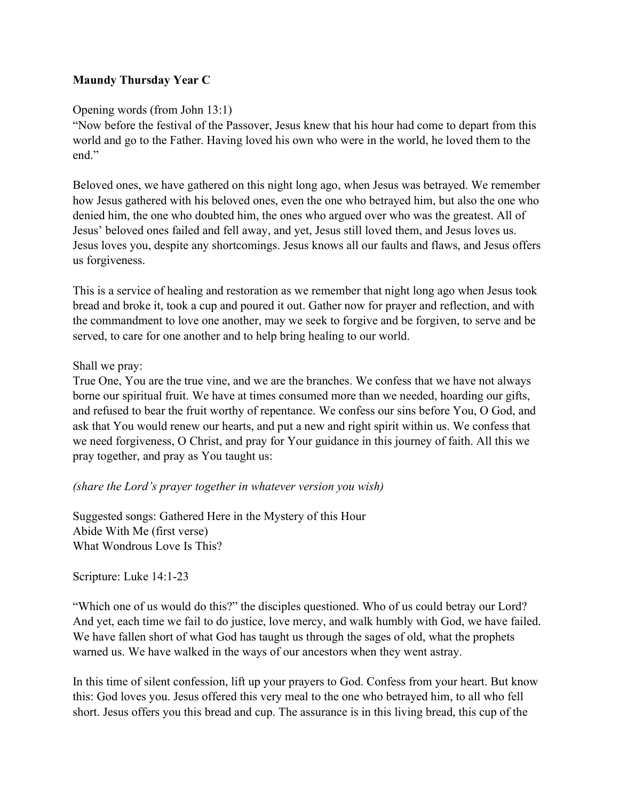# Maundy Thursday Year C

## Opening words (from John 13:1)

"Now before the festival of the Passover, Jesus knew that his hour had come to depart from this world and go to the Father. Having loved his own who were in the world, he loved them to the end."

Beloved ones, we have gathered on this night long ago, when Jesus was betrayed. We remember how Jesus gathered with his beloved ones, even the one who betrayed him, but also the one who denied him, the one who doubted him, the ones who argued over who was the greatest. All of Jesus' beloved ones failed and fell away, and yet, Jesus still loved them, and Jesus loves us. Jesus loves you, despite any shortcomings. Jesus knows all our faults and flaws, and Jesus offers us forgiveness.

This is a service of healing and restoration as we remember that night long ago when Jesus took bread and broke it, took a cup and poured it out. Gather now for prayer and reflection, and with the commandment to love one another, may we seek to forgive and be forgiven, to serve and be served, to care for one another and to help bring healing to our world.

### Shall we pray:

True One, You are the true vine, and we are the branches. We confess that we have not always borne our spiritual fruit. We have at times consumed more than we needed, hoarding our gifts, and refused to bear the fruit worthy of repentance. We confess our sins before You, O God, and ask that You would renew our hearts, and put a new and right spirit within us. We confess that we need forgiveness, O Christ, and pray for Your guidance in this journey of faith. All this we pray together, and pray as You taught us:

## (share the Lord's prayer together in whatever version you wish)

Suggested songs: Gathered Here in the Mystery of this Hour Abide With Me (first verse) What Wondrous Love Is This?

#### Scripture: Luke 14:1-23

"Which one of us would do this?" the disciples questioned. Who of us could betray our Lord? And yet, each time we fail to do justice, love mercy, and walk humbly with God, we have failed. We have fallen short of what God has taught us through the sages of old, what the prophets warned us. We have walked in the ways of our ancestors when they went astray.

In this time of silent confession, lift up your prayers to God. Confess from your heart. But know this: God loves you. Jesus offered this very meal to the one who betrayed him, to all who fell short. Jesus offers you this bread and cup. The assurance is in this living bread, this cup of the